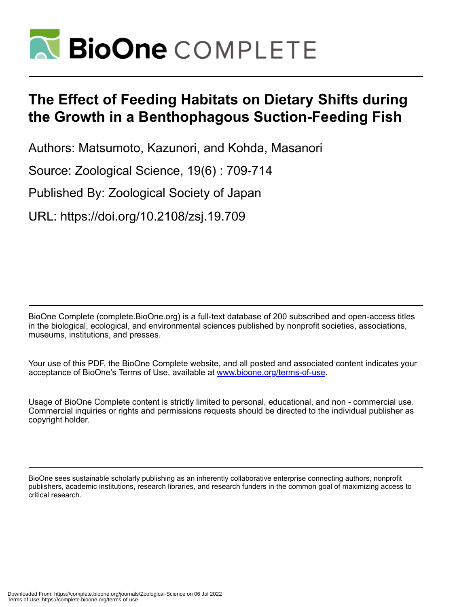

# **The Effect of Feeding Habitats on Dietary Shifts during the Growth in a Benthophagous Suction-Feeding Fish**

Authors: Matsumoto, Kazunori, and Kohda, Masanori

Source: Zoological Science, 19(6) : 709-714

Published By: Zoological Society of Japan

URL: https://doi.org/10.2108/zsj.19.709

BioOne Complete (complete.BioOne.org) is a full-text database of 200 subscribed and open-access titles in the biological, ecological, and environmental sciences published by nonprofit societies, associations, museums, institutions, and presses.

Your use of this PDF, the BioOne Complete website, and all posted and associated content indicates your acceptance of BioOne's Terms of Use, available at www.bioone.org/terms-of-use.

Usage of BioOne Complete content is strictly limited to personal, educational, and non - commercial use. Commercial inquiries or rights and permissions requests should be directed to the individual publisher as copyright holder.

BioOne sees sustainable scholarly publishing as an inherently collaborative enterprise connecting authors, nonprofit publishers, academic institutions, research libraries, and research funders in the common goal of maximizing access to critical research.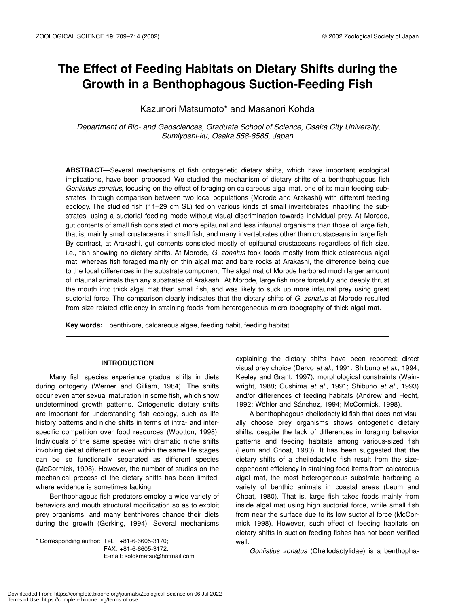## **The Effect of Feeding Habitats on Dietary Shifts during the Growth in a Benthophagous Suction-Feeding Fish**

### Kazunori Matsumoto\* and Masanori Kohda

 *Department of Bio- and Geosciences, Graduate School of Science, Osaka City University, Sumiyoshi-ku, Osaka 558-8585, Japan*

**ABSTRACT**—Several mechanisms of fish ontogenetic dietary shifts, which have important ecological implications, have been proposed. We studied the mechanism of dietary shifts of a benthophagous fish *Goniistius zonatus*, focusing on the effect of foraging on calcareous algal mat, one of its main feeding substrates, through comparison between two local populations (Morode and Arakashi) with different feeding ecology. The studied fish (11–29 cm SL) fed on various kinds of small invertebrates inhabiting the substrates, using a suctorial feeding mode without visual discrimination towards individual prey. At Morode, gut contents of small fish consisted of more epifaunal and less infaunal organisms than those of large fish, that is, mainly small crustaceans in small fish, and many invertebrates other than crustaceans in large fish. By contrast, at Arakashi, gut contents consisted mostly of epifaunal crustaceans regardless of fish size, i.e., fish showing no dietary shifts. At Morode, *G. zonatus* took foods mostly from thick calcareous algal mat, whereas fish foraged mainly on thin algal mat and bare rocks at Arakashi, the difference being due to the local differences in the substrate component. The algal mat of Morode harbored much larger amount of infaunal animals than any substrates of Arakashi. At Morode, large fish more forcefully and deeply thrust the mouth into thick algal mat than small fish, and was likely to suck up more infaunal prey using great suctorial force. The comparison clearly indicates that the dietary shifts of *G. zonatus* at Morode resulted from size-related efficiency in straining foods from heterogeneous micro-topography of thick algal mat.

**Key words:** benthivore, calcareous algae, feeding habit, feeding habitat

#### **INTRODUCTION**

Many fish species experience gradual shifts in diets during ontogeny (Werner and Gilliam, 1984). The shifts occur even after sexual maturation in some fish, which show undetermined growth patterns. Ontogenetic dietary shifts are important for understanding fish ecology, such as life history patterns and niche shifts in terms of intra- and interspecific competition over food resources (Wootton, 1998). Individuals of the same species with dramatic niche shifts involving diet at different or even within the same life stages can be so functionally separated as different species (McCormick, 1998). However, the number of studies on the mechanical process of the dietary shifts has been limited, where evidence is sometimes lacking.

Benthophagous fish predators employ a wide variety of behaviors and mouth structural modification so as to exploit prey organisms, and many benthivores change their diets during the growth (Gerking, 1994). Several mechanisms

\* Corresponding author: Tel. +81-6-6605-3170; FAX. +81-6-6605-3172. E-mail: solokmatsu@hotmail.com explaining the dietary shifts have been reported: direct visual prey choice (Dervo *et al*., 1991; Shibuno *et al*., 1994; Keeley and Grant, 1997), morphological constraints (Wainwright, 1988; Gushima *et al*., 1991; Shibuno *et al*., 1993) and/or differences of feeding habitats (Andrew and Hecht, 1992; Wöhler and Sánchez, 1994; McCormick, 1998).

A benthophagous cheilodactylid fish that does not visually choose prey organisms shows ontogenetic dietary shifts, despite the lack of differences in foraging behavior patterns and feeding habitats among various-sized fish (Leum and Choat, 1980). It has been suggested that the dietary shifts of a cheilodactylid fish result from the sizedependent efficiency in straining food items from calcareous algal mat, the most heterogeneous substrate harboring a variety of benthic animals in coastal areas (Leum and Choat, 1980). That is, large fish takes foods mainly from inside algal mat using high suctorial force, while small fish from near the surface due to its low suctorial force (McCormick 1998). However, such effect of feeding habitats on dietary shifts in suction-feeding fishes has not been verified well.

*Goniistius zonatus* (Cheilodactylidae) is a benthopha-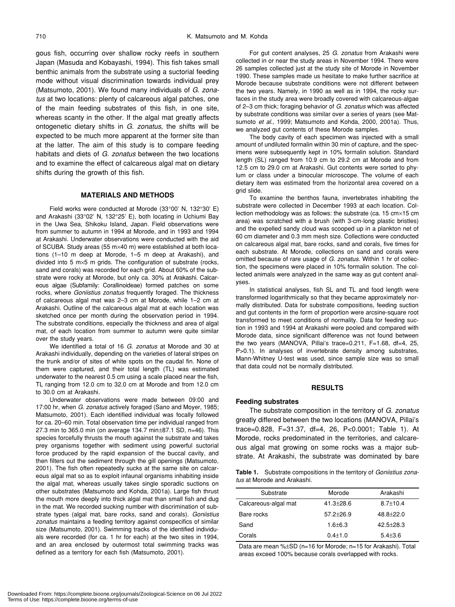gous fish, occurring over shallow rocky reefs in southern Japan (Masuda and Kobayashi, 1994). This fish takes small benthic animals from the substrate using a suctorial feeding mode without visual discrimination towards individual prey (Matsumoto, 2001). We found many individuals of *G. zonatus* at two locations: plenty of calcareous algal patches, one of the main feeding substrates of this fish, in one site, whereas scanty in the other. If the algal mat greatly affects ontogenetic dietary shifts in *G. zonatus*, the shifts will be expected to be much more apparent at the former site than at the latter. The aim of this study is to compare feeding habitats and diets of *G. zonatus* between the two locations and to examine the effect of calcareous algal mat on dietary shifts during the growth of this fish.

#### **MATERIALS AND METHODS**

Field works were conducted at Morode (33°00' N, 132°30' E) and Arakashi (33°02' N, 132°25' E), both locating in Uchiumi Bay in the Uwa Sea, Shikoku Island, Japan. Field observations were from summer to autumn in 1994 at Morode, and in 1993 and 1994 at Arakashi. Underwater observations were conducted with the aid of SCUBA. Study areas (55 m×40 m) were established at both locations (1–10 m deep at Morode, 1–5 m deep at Arakashi), and divided into 5 m×5 m grids. The configuration of substrate (rocks, sand and corals) was recorded for each grid. About 60% of the substrate were rocky at Morode, but only ca. 30% at Arakashi. Calcareous algae (Subfamily: Corallinoideae) formed patches on some rocks, where *Goniistius zonatus* frequently foraged. The thickness of calcareous algal mat was 2–3 cm at Morode, while 1–2 cm at Arakashi. Outline of the calcareous algal mat at each location was sketched once per month during the observation period in 1994. The substrate conditions, especially the thickness and area of algal mat, of each location from summer to autumn were quite similar over the study years.

We identified a total of 16 *G. zonatus* at Morode and 30 at Arakashi individually, depending on the varieties of lateral stripes on the trunk and/or of sites of white spots on the caudal fin. None of them were captured, and their total length (TL) was estimated underwater to the nearest 0.5 cm using a scale placed near the fish, TL ranging from 12.0 cm to 32.0 cm at Morode and from 12.0 cm to 30.0 cm at Arakashi.

Underwater observations were made between 09:00 and 17:00 hr, when *G. zonatus* actively foraged (Sano and Moyer, 1985; Matsumoto, 2001). Each identified individual was focally followed for ca. 20–60 min. Total observation time per individual ranged from 27.3 min to 365.0 min (on average 134.7 min±87.1 SD, n=46). This species forcefully thrusts the mouth against the substrate and takes prey organisms together with sediment using powerful suctorial force produced by the rapid expansion of the buccal cavity, and then filters out the sediment through the gill openings (Matsumoto, 2001). The fish often repeatedly sucks at the same site on calcareous algal mat so as to exploit infaunal organisms inhabiting inside the algal mat, whereas usually takes single sporadic suctions on other substrates (Matsumoto and Kohda, 2001a). Large fish thrust the mouth more deeply into thick algal mat than small fish and dug in the mat. We recorded sucking number with discrimination of substrate types (algal mat, bare rocks, sand and corals). *Goniistius zonatus* maintains a feeding territory against conspecifics of similar size (Matsumoto, 2001). Swimming tracks of the identified individuals were recorded (for ca. 1 hr for each) at the two sites in 1994, and an area enclosed by outermost total swimming tracks was defined as a territory for each fish (Matsumoto, 2001).

For gut content analyses, 25 *G. zonatus* from Arakashi were collected in or near the study areas in November 1994. There were 26 samples collected just at the study site of Morode in November 1990. These samples made us hesitate to make further sacrifice at Morode because substrate conditions were not different between the two years. Namely, in 1990 as well as in 1994, the rocky surfaces in the study area were broadly covered with calcareous-algae of 2–3 cm thick; foraging behavior of *G. zonatus* which was affected by substrate conditions was similar over a series of years (see Matsumoto *et al*., 1999; Matsumoto and Kohda, 2000, 2001a). Thus, we analyzed gut contents of these Morode samples.

The body cavity of each specimen was injected with a small amount of undiluted formalin within 30 min of capture, and the specimens were subsequently kept in 10% formalin solution. Standard length (SL) ranged from 10.9 cm to 29.2 cm at Morode and from 12.5 cm to 29.0 cm at Arakashi. Gut contents were sorted to phylum or class under a binocular microscope. The volume of each dietary item was estimated from the horizontal area covered on a grid slide.

To examine the benthos fauna, invertebrates inhabiting the substrate were collected in December 1993 at each location. Collection methodology was as follows: the substrate (ca. 15  $cm \times 15$  cm area) was scratched with a brush (with 3-cm-long plastic bristles) and the expelled sandy cloud was scooped up in a plankton net of 60 cm diameter and 0.3 mm mesh size. Collections were conducted on calcareous algal mat, bare rocks, sand and corals, five times for each substrate. At Morode, collections on sand and corals were omitted because of rare usage of *G. zonatus*. Within 1 hr of collection, the specimens were placed in 10% formalin solution. The collected animals were analyzed in the same way as gut content analyses.

In statistical analyses, fish SL and TL and food length were transformed logarithmically so that they became approximately normally distributed. Data for substrate compositions, feeding suction and gut contents in the form of proportion were arcsine-square root transformed to meet conditions of normality. Data for feeding suction in 1993 and 1994 at Arakashi were pooled and compared with Morode data, since significant difference was not found between the two years (MANOVA, Pillai's trace=0.211, F=1.68, df=4, 25, P>0.1). In analyses of invertebrate density among substrates, Mann-Whitney U-test was used, since sample size was so small that data could not be normally distributed.

#### **RESULTS**

#### **Feeding substrates**

The substrate composition in the territory of *G. zonatus* greatly differed between the two locations (MANOVA, Pillai's trace=0.828, F=31.37, df=4, 26, P<0.0001; Table 1). At Morode, rocks predominated in the territories, and calcareous algal mat growing on some rocks was a major substrate. At Arakashi, the substrate was dominated by bare

**Table 1.** Substrate compositions in the territory of *Goniistius zonatus* at Morode and Arakashi.

| Substrate            | Morode          | Arakashi      |
|----------------------|-----------------|---------------|
| Calcareous-algal mat | $41.3 + 28.6$   | $8.7 + 10.4$  |
| Bare rocks           | $57.2 \pm 26.9$ | $48.8 + 22.0$ |
| Sand                 | $1.6 + 6.3$     | $42.5 + 28.3$ |
| Corals               | $0.4 + 1.0$     | $5.4 + 3.6$   |

Data are mean %±SD (n=16 for Morode; n=15 for Arakashi). Total areas exceed 100% because corals overlapped with rocks.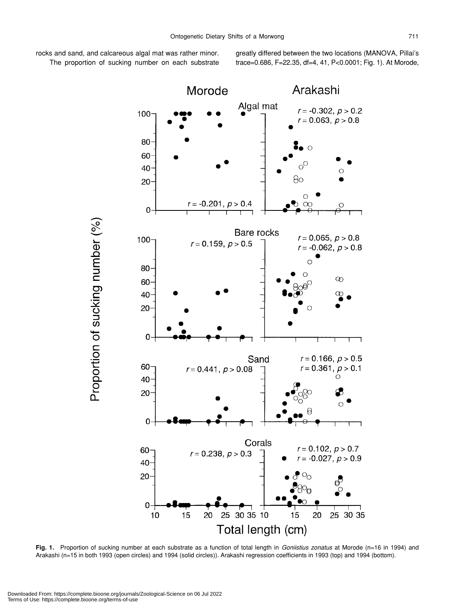rocks and sand, and calcareous algal mat was rather minor. The proportion of sucking number on each substrate greatly differed between the two locations (MANOVA, Pillai's trace=0.686, F=22.35, df=4, 41, P<0.0001; Fig. 1). At Morode,



**Fig. 1.** Proportion of sucking number at each substrate as a function of total length in *Goniistius zonatus* at Morode (n=16 in 1994) and Arakashi (n=15 in both 1993 (open circles) and 1994 (solid circles)). Arakashi regression coefficients in 1993 (top) and 1994 (bottom).

Proportion of sucking number (%)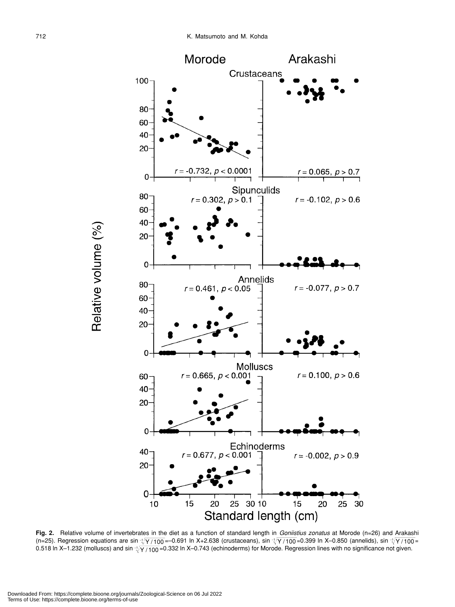

**Fig. 2.** Relative volume of invertebrates in the diet as a function of standard length in *Goniistius zonatus* at Morode (n=26) and Arakashi (n=25). Regression equations are sin -{/Y / 100 =–0.691 In X+2.638 (crustaceans), sin -{/Y / 100 =0.399 In X–0.850 (annelids), sin -{/Y / 100 = 0.518 ln X–1.232 (molluscs) and sin ∹ $\sqrt{\gamma}$  /100 =0.332 ln X–0.743 (echinoderms) for Morode. Regression lines with no significance not given.

Relative volume (%)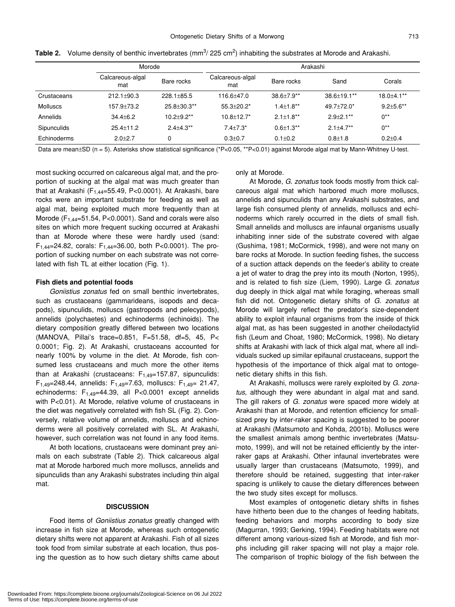|                 | Morode                  |                    | Arakashi                |                   |                    |                 |  |
|-----------------|-------------------------|--------------------|-------------------------|-------------------|--------------------|-----------------|--|
|                 | Calcareous-algal<br>mat | Bare rocks         | Calcareous-algal<br>mat | Bare rocks        | Sand               | Corals          |  |
| Crustaceans     | $212.1 \pm 90.3$        | $228.1 + 85.5$     | 116.6+47.0              | $38.6 \pm 7.9$ ** | $38.6 \pm 19.1$ ** | $18.0 + 4.1***$ |  |
| <b>Molluscs</b> | 157.9+73.2              | $25.8 \pm 30.3$ ** | $55.3 + 20.2*$          | $1.4 \pm 1.8***$  | $49.7 + 72.0*$     | $9.2 + 5.6$ **  |  |
| Annelids        | $34.4 + 6.2$            | $10.2 + 9.2$ **    | $10.8 + 12.7*$          | $2.1 \pm 1.8$ **  | $2.9 + 2.1***$     | $0**$           |  |
| Sipunculids     | $25.4 \pm 11.2$         | $2.4 + 4.3$ **     | $7.4 + 7.3*$            | $0.6 \pm 1.3$ **  | $2.1 + 4.7**$      | $0**$           |  |
| Echinoderms     | $2.0 + 2.7$             |                    | $0.3 + 0.7$             | $0.1 \pm 0.2$     | $0.8 + 1.8$        | $0.2 \pm 0.4$   |  |

Table 2. Volume density of benthic invertebrates (mm<sup>3</sup>/ 225 cm<sup>2</sup>) inhabiting the substrates at Morode and Arakashi.

Data are mean±SD (n = 5). Asterisks show statistical significance (\*P<0.05, \*\*P<0.01) against Morode algal mat by Mann-Whitney U-test.

most sucking occurred on calcareous algal mat, and the proportion of sucking at the algal mat was much greater than that at Arakashi ( $F_{1,44}$ =55.49, P<0.0001). At Arakashi, bare rocks were an important substrate for feeding as well as algal mat, being exploited much more frequently than at Morode ( $F_{1,44}=51.54$ , P<0.0001). Sand and corals were also sites on which more frequent sucking occurred at Arakashi than at Morode where these were hardly used (sand:  $F_{1,44}=24.82$ , corals:  $F_{1,44}=36.00$ , both P<0.0001). The proportion of sucking number on each substrate was not correlated with fish TL at either location (Fig. 1).

#### **Fish diets and potential foods**

*Goniistius zonatus* fed on small benthic invertebrates, such as crustaceans (gammarideans, isopods and decapods), sipunculids, molluscs (gastropods and pelecypods), annelids (polychaetes) and echinoderms (echinoids). The dietary composition greatly differed between two locations (MANOVA, Pillai's trace=0.851, F=51.58, df=5, 45, P< 0.0001; Fig. 2). At Arakashi, crustaceans accounted for nearly 100% by volume in the diet. At Morode, fish consumed less crustaceans and much more the other items than at Arakashi (crustaceans:  $F_{1.49}$ =157.87, sipunculids:  $F_{1,49}=248.44$ , annelids:  $F_{1,49}=7.63$ , molluscs:  $F_{1,49}=21.47$ , echinoderms:  $F_{1,49}$ =44.39, all P<0.0001 except annelids with P<0.01). At Morode, relative volume of crustaceans in the diet was negatively correlated with fish SL (Fig. 2). Conversely, relative volume of annelids, molluscs and echinoderms were all positively correlated with SL. At Arakashi, however, such correlation was not found in any food items.

At both locations, crustaceans were dominant prey animals on each substrate (Table 2). Thick calcareous algal mat at Morode harbored much more molluscs, annelids and sipunculids than any Arakashi substrates including thin algal mat.

#### **DISCUSSION**

Food items of *Goniistius zonatus* greatly changed with increase in fish size at Morode, whereas such ontogenetic dietary shifts were not apparent at Arakashi. Fish of all sizes took food from similar substrate at each location, thus posing the question as to how such dietary shifts came about only at Morode.

At Morode, *G. zonatus* took foods mostly from thick calcareous algal mat which harbored much more molluscs, annelids and sipunculids than any Arakashi substrates, and large fish consumed plenty of annelids, molluscs and echinoderms which rarely occurred in the diets of small fish. Small annelids and molluscs are infaunal organisms usually inhabiting inner side of the substrate covered with algae (Gushima, 1981; McCormick, 1998), and were not many on bare rocks at Morode. In suction feeding fishes, the success of a suction attack depends on the feeder's ability to create a jet of water to drag the prey into its mouth (Norton, 1995), and is related to fish size (Liem, 1990). Large *G. zonatus* dug deeply in thick algal mat while foraging, whereas small fish did not. Ontogenetic dietary shifts of *G. zonatus* at Morode will largely reflect the predator's size-dependent ability to exploit infaunal organisms from the inside of thick algal mat, as has been suggested in another cheilodactylid fish (Leum and Choat, 1980; McCormick, 1998). No dietary shifts at Arakashi with lack of thick algal mat, where all individuals sucked up similar epifaunal crustaceans, support the hypothesis of the importance of thick algal mat to ontogenetic dietary shifts in this fish.

At Arakashi, molluscs were rarely exploited by *G. zonatus*, although they were abundant in algal mat and sand. The gill rakers of *G. zonatus* were spaced more widely at Arakashi than at Morode, and retention efficiency for smallsized prey by inter-raker spacing is suggested to be poorer at Arakashi (Matsumoto and Kohda, 2001b). Molluscs were the smallest animals among benthic invertebrates (Matsumoto, 1999), and will not be retained efficiently by the interraker gaps at Arakashi. Other infaunal invertebrates were usually larger than crustaceans (Matsumoto, 1999), and therefore should be retained, suggesting that inter-raker spacing is unlikely to cause the dietary differences between the two study sites except for molluscs.

Most examples of ontogenetic dietary shifts in fishes have hitherto been due to the changes of feeding habitats, feeding behaviors and morphs according to body size (Magurran, 1993; Gerking, 1994). Feeding habitats were not different among various-sized fish at Morode, and fish morphs including gill raker spacing will not play a major role. The comparison of trophic biology of the fish between the